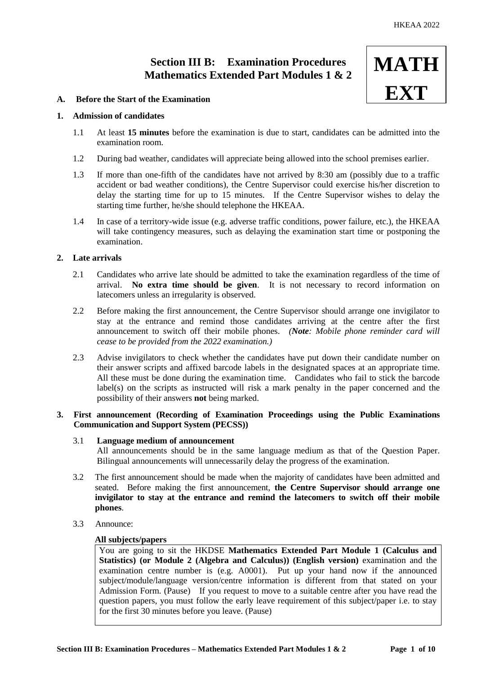# **Section III B: Examination Procedures Mathematics Extended Part Modules 1 & 2**

# **A. Before the Start of the Examination**

# **MATH EXT**

# **1. Admission of candidates**

- 1.1 At least **15 minutes** before the examination is due to start, candidates can be admitted into the examination room.
- 1.2 During bad weather, candidates will appreciate being allowed into the school premises earlier.
- 1.3 If more than one-fifth of the candidates have not arrived by 8:30 am (possibly due to a traffic accident or bad weather conditions), the Centre Supervisor could exercise his/her discretion to delay the starting time for up to 15 minutes. If the Centre Supervisor wishes to delay the starting time further, he/she should telephone the HKEAA.
- 1.4 In case of a territory-wide issue (e.g. adverse traffic conditions, power failure, etc.), the HKEAA will take contingency measures, such as delaying the examination start time or postponing the examination.

# **2. Late arrivals**

- 2.1 Candidates who arrive late should be admitted to take the examination regardless of the time of arrival. **No extra time should be given**. It is not necessary to record information on latecomers unless an irregularity is observed.
- 2.2 Before making the first announcement, the Centre Supervisor should arrange one invigilator to stay at the entrance and remind those candidates arriving at the centre after the first announcement to switch off their mobile phones. *(Note: Mobile phone reminder card will cease to be provided from the 2022 examination.)*
- 2.3 Advise invigilators to check whether the candidates have put down their candidate number on their answer scripts and affixed barcode labels in the designated spaces at an appropriate time. All these must be done during the examination time. Candidates who fail to stick the barcode label(s) on the scripts as instructed will risk a mark penalty in the paper concerned and the possibility of their answers **not** being marked.

# **3. First announcement (Recording of Examination Proceedings using the Public Examinations Communication and Support System (PECSS))**

- 3.1 **Language medium of announcement** All announcements should be in the same language medium as that of the Question Paper. Bilingual announcements will unnecessarily delay the progress of the examination.
- 3.2 The first announcement should be made when the majority of candidates have been admitted and seated. Before making the first announcement, **the Centre Supervisor should arrange one invigilator to stay at the entrance and remind the latecomers to switch off their mobile phones**.
- 3.3 Announce:

# **All subjects/papers**

You are going to sit the HKDSE **Mathematics Extended Part Module 1 (Calculus and Statistics) (or Module 2 (Algebra and Calculus)) (English version)** examination and the examination centre number is (e.g. A0001). Put up your hand now if the announced subject/module/language version/centre information is different from that stated on your Admission Form. (Pause) If you request to move to a suitable centre after you have read the question papers, you must follow the early leave requirement of this subject/paper i.e. to stay for the first 30 minutes before you leave. (Pause)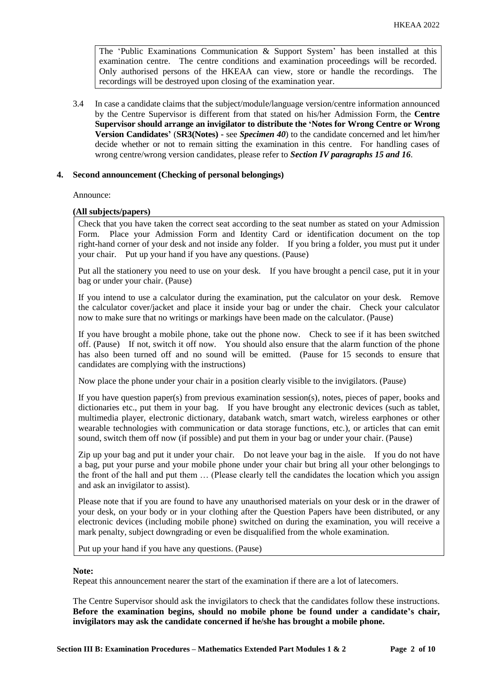The 'Public Examinations Communication & Support System' has been installed at this examination centre. The centre conditions and examination proceedings will be recorded. Only authorised persons of the HKEAA can view, store or handle the recordings. The recordings will be destroyed upon closing of the examination year.

3.4 In case a candidate claims that the subject/module/language version/centre information announced by the Centre Supervisor is different from that stated on his/her Admission Form, the **Centre Supervisor should arrange an invigilator to distribute the 'Notes for Wrong Centre or Wrong Version Candidates'** (**SR3(Notes) -** see *Specimen 40*) to the candidate concerned and let him/her decide whether or not to remain sitting the examination in this centre. For handling cases of wrong centre/wrong version candidates, please refer to *Section IV paragraphs 15 and 16*.

# **4. Second announcement (Checking of personal belongings)**

Announce:

# **(All subjects/papers)**

Check that you have taken the correct seat according to the seat number as stated on your Admission Form. Place your Admission Form and Identity Card or identification document on the top right-hand corner of your desk and not inside any folder. If you bring a folder, you must put it under your chair. Put up your hand if you have any questions. (Pause)

Put all the stationery you need to use on your desk. If you have brought a pencil case, put it in your bag or under your chair. (Pause)

If you intend to use a calculator during the examination, put the calculator on your desk. Remove the calculator cover/jacket and place it inside your bag or under the chair. Check your calculator now to make sure that no writings or markings have been made on the calculator. (Pause)

If you have brought a mobile phone, take out the phone now. Check to see if it has been switched off. (Pause) If not, switch it off now. You should also ensure that the alarm function of the phone has also been turned off and no sound will be emitted. (Pause for 15 seconds to ensure that candidates are complying with the instructions)

Now place the phone under your chair in a position clearly visible to the invigilators. (Pause)

If you have question paper(s) from previous examination session(s), notes, pieces of paper, books and dictionaries etc., put them in your bag. If you have brought any electronic devices (such as tablet, multimedia player, electronic dictionary, databank watch, smart watch, wireless earphones or other wearable technologies with communication or data storage functions, etc.), or articles that can emit sound, switch them off now (if possible) and put them in your bag or under your chair. (Pause)

Zip up your bag and put it under your chair. Do not leave your bag in the aisle. If you do not have a bag, put your purse and your mobile phone under your chair but bring all your other belongings to the front of the hall and put them … (Please clearly tell the candidates the location which you assign and ask an invigilator to assist).

Please note that if you are found to have any unauthorised materials on your desk or in the drawer of your desk, on your body or in your clothing after the Question Papers have been distributed, or any electronic devices (including mobile phone) switched on during the examination, you will receive a mark penalty, subject downgrading or even be disqualified from the whole examination.

Put up your hand if you have any questions. (Pause)

#### **Note:**

Repeat this announcement nearer the start of the examination if there are a lot of latecomers.

The Centre Supervisor should ask the invigilators to check that the candidates follow these instructions. **Before the examination begins, should no mobile phone be found under a candidate's chair, invigilators may ask the candidate concerned if he/she has brought a mobile phone.**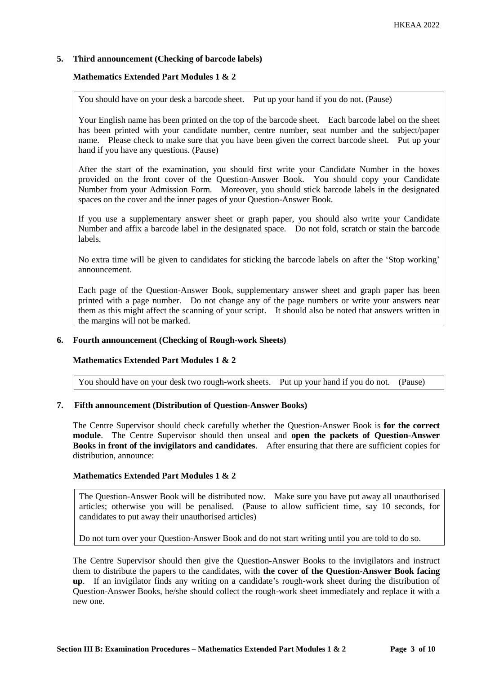# **5. Third announcement (Checking of barcode labels)**

# **Mathematics Extended Part Modules 1 & 2**

You should have on your desk a barcode sheet. Put up your hand if you do not. (Pause)

Your English name has been printed on the top of the barcode sheet. Each barcode label on the sheet has been printed with your candidate number, centre number, seat number and the subject/paper name. Please check to make sure that you have been given the correct barcode sheet. Put up your hand if you have any questions. (Pause)

After the start of the examination, you should first write your Candidate Number in the boxes provided on the front cover of the Question-Answer Book. You should copy your Candidate Number from your Admission Form. Moreover, you should stick barcode labels in the designated spaces on the cover and the inner pages of your Question-Answer Book.

If you use a supplementary answer sheet or graph paper, you should also write your Candidate Number and affix a barcode label in the designated space. Do not fold, scratch or stain the barcode labels.

No extra time will be given to candidates for sticking the barcode labels on after the 'Stop working' announcement.

Each page of the Question-Answer Book, supplementary answer sheet and graph paper has been printed with a page number. Do not change any of the page numbers or write your answers near them as this might affect the scanning of your script. It should also be noted that answers written in the margins will not be marked.

# **6. Fourth announcement (Checking of Rough-work Sheets)**

# **Mathematics Extended Part Modules 1 & 2**

You should have on your desk two rough-work sheets. Put up your hand if you do not. (Pause)

# **7. Fifth announcement (Distribution of Question-Answer Books)**

The Centre Supervisor should check carefully whether the Question-Answer Book is **for the correct module**. The Centre Supervisor should then unseal and **open the packets of Question-Answer Books in front of the invigilators and candidates**. After ensuring that there are sufficient copies for distribution, announce:

# **Mathematics Extended Part Modules 1 & 2**

The Question-Answer Book will be distributed now. Make sure you have put away all unauthorised articles; otherwise you will be penalised. (Pause to allow sufficient time, say 10 seconds, for candidates to put away their unauthorised articles)

Do not turn over your Question-Answer Book and do not start writing until you are told to do so.

The Centre Supervisor should then give the Question-Answer Books to the invigilators and instruct them to distribute the papers to the candidates, with **the cover of the Question-Answer Book facing up**. If an invigilator finds any writing on a candidate's rough-work sheet during the distribution of Question-Answer Books, he/she should collect the rough-work sheet immediately and replace it with a new one.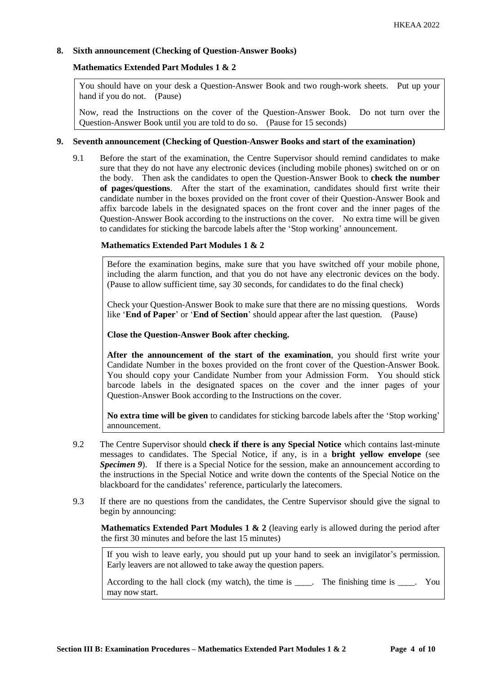# **8. Sixth announcement (Checking of Question-Answer Books)**

#### **Mathematics Extended Part Modules 1 & 2**

You should have on your desk a Question-Answer Book and two rough-work sheets. Put up your hand if you do not. (Pause)

Now, read the Instructions on the cover of the Question-Answer Book. Do not turn over the Question-Answer Book until you are told to do so. (Pause for 15 seconds)

#### **9. Seventh announcement (Checking of Question-Answer Books and start of the examination)**

9.1 Before the start of the examination, the Centre Supervisor should remind candidates to make sure that they do not have any electronic devices (including mobile phones) switched on or on the body. Then ask the candidates to open the Question-Answer Book to **check the number of pages/questions**. After the start of the examination, candidates should first write their candidate number in the boxes provided on the front cover of their Question-Answer Book and affix barcode labels in the designated spaces on the front cover and the inner pages of the Question-Answer Book according to the instructions on the cover. No extra time will be given to candidates for sticking the barcode labels after the 'Stop working' announcement.

# **Mathematics Extended Part Modules 1 & 2**

Before the examination begins, make sure that you have switched off your mobile phone, including the alarm function, and that you do not have any electronic devices on the body. (Pause to allow sufficient time, say 30 seconds, for candidates to do the final check)

Check your Question-Answer Book to make sure that there are no missing questions. Words like '**End of Paper**' or '**End of Section**' should appear after the last question. (Pause)

**Close the Question-Answer Book after checking.**

**After the announcement of the start of the examination**, you should first write your Candidate Number in the boxes provided on the front cover of the Question-Answer Book. You should copy your Candidate Number from your Admission Form. You should stick barcode labels in the designated spaces on the cover and the inner pages of your Question-Answer Book according to the Instructions on the cover.

**No extra time will be given** to candidates for sticking barcode labels after the 'Stop working' announcement.

- 9.2 The Centre Supervisor should **check if there is any Special Notice** which contains last-minute messages to candidates. The Special Notice, if any, is in a **bright yellow envelope** (see **Specimen 9**). If there is a Special Notice for the session, make an announcement according to the instructions in the Special Notice and write down the contents of the Special Notice on the blackboard for the candidates' reference, particularly the latecomers.
- 9.3 If there are no questions from the candidates, the Centre Supervisor should give the signal to begin by announcing:

**Mathematics Extended Part Modules 1 & 2** (leaving early is allowed during the period after the first 30 minutes and before the last 15 minutes)

If you wish to leave early, you should put up your hand to seek an invigilator's permission. Early leavers are not allowed to take away the question papers.

According to the hall clock (my watch), the time is  $\blacksquare$ . The finishing time is  $\blacksquare$ . You may now start.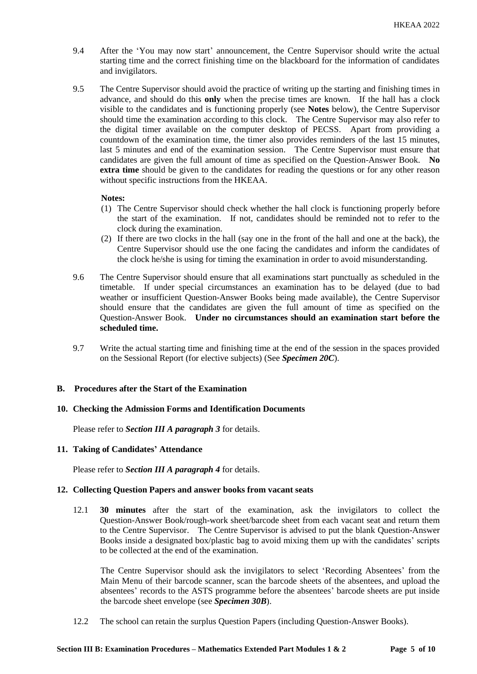- 9.4 After the 'You may now start' announcement, the Centre Supervisor should write the actual starting time and the correct finishing time on the blackboard for the information of candidates and invigilators.
- 9.5 The Centre Supervisor should avoid the practice of writing up the starting and finishing times in advance, and should do this **only** when the precise times are known. If the hall has a clock visible to the candidates and is functioning properly (see **Notes** below), the Centre Supervisor should time the examination according to this clock. The Centre Supervisor may also refer to the digital timer available on the computer desktop of PECSS. Apart from providing a countdown of the examination time, the timer also provides reminders of the last 15 minutes, last 5 minutes and end of the examination session. The Centre Supervisor must ensure that candidates are given the full amount of time as specified on the Question-Answer Book. **No extra time** should be given to the candidates for reading the questions or for any other reason without specific instructions from the HKEAA.

# **Notes:**

- (1) The Centre Supervisor should check whether the hall clock is functioning properly before the start of the examination. If not, candidates should be reminded not to refer to the clock during the examination.
- (2) If there are two clocks in the hall (say one in the front of the hall and one at the back), the Centre Supervisor should use the one facing the candidates and inform the candidates of the clock he/she is using for timing the examination in order to avoid misunderstanding.
- 9.6 The Centre Supervisor should ensure that all examinations start punctually as scheduled in the timetable. If under special circumstances an examination has to be delayed (due to bad weather or insufficient Question-Answer Books being made available), the Centre Supervisor should ensure that the candidates are given the full amount of time as specified on the Question-Answer Book. **Under no circumstances should an examination start before the scheduled time.**
- 9.7 Write the actual starting time and finishing time at the end of the session in the spaces provided on the Sessional Report (for elective subjects) (See *Specimen 20C*).

#### **B. Procedures after the Start of the Examination**

#### **10. Checking the Admission Forms and Identification Documents**

Please refer to *Section III A paragraph 3* for details.

#### **11. Taking of Candidates' Attendance**

Please refer to *Section III A paragraph 4* for details.

#### **12. Collecting Question Papers and answer books from vacant seats**

12.1 **30 minutes** after the start of the examination, ask the invigilators to collect the Question-Answer Book/rough-work sheet/barcode sheet from each vacant seat and return them to the Centre Supervisor. The Centre Supervisor is advised to put the blank Question-Answer Books inside a designated box/plastic bag to avoid mixing them up with the candidates' scripts to be collected at the end of the examination.

The Centre Supervisor should ask the invigilators to select 'Recording Absentees' from the Main Menu of their barcode scanner, scan the barcode sheets of the absentees, and upload the absentees' records to the ASTS programme before the absentees' barcode sheets are put inside the barcode sheet envelope (see *Specimen 30B*).

12.2 The school can retain the surplus Question Papers (including Question-Answer Books).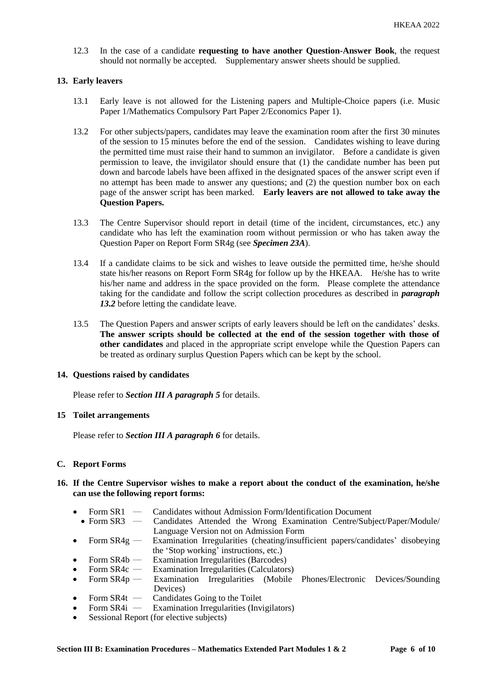12.3 In the case of a candidate **requesting to have another Question-Answer Book**, the request should not normally be accepted. Supplementary answer sheets should be supplied.

# **13. Early leavers**

- 13.1 Early leave is not allowed for the Listening papers and Multiple-Choice papers (i.e. Music Paper 1/Mathematics Compulsory Part Paper 2/Economics Paper 1).
- 13.2 For other subjects/papers, candidates may leave the examination room after the first 30 minutes of the session to 15 minutes before the end of the session. Candidates wishing to leave during the permitted time must raise their hand to summon an invigilator. Before a candidate is given permission to leave, the invigilator should ensure that (1) the candidate number has been put down and barcode labels have been affixed in the designated spaces of the answer script even if no attempt has been made to answer any questions; and (2) the question number box on each page of the answer script has been marked. **Early leavers are not allowed to take away the Question Papers.**
- 13.3 The Centre Supervisor should report in detail (time of the incident, circumstances, etc.) any candidate who has left the examination room without permission or who has taken away the Question Paper on Report Form SR4g (see *Specimen 23A*).
- 13.4 If a candidate claims to be sick and wishes to leave outside the permitted time, he/she should state his/her reasons on Report Form SR4g for follow up by the HKEAA. He/she has to write his/her name and address in the space provided on the form. Please complete the attendance taking for the candidate and follow the script collection procedures as described in *paragraph*  13.2 before letting the candidate leave.
- 13.5 The Question Papers and answer scripts of early leavers should be left on the candidates' desks. **The answer scripts should be collected at the end of the session together with those of other candidates** and placed in the appropriate script envelope while the Question Papers can be treated as ordinary surplus Question Papers which can be kept by the school.

# **14. Questions raised by candidates**

Please refer to *Section III A paragraph 5* for details.

#### **15 Toilet arrangements**

Please refer to *Section III A paragraph 6* for details.

# **C. Report Forms**

# **16. If the Centre Supervisor wishes to make a report about the conduct of the examination, he/she can use the following report forms:**

- Form SR1 ― Candidates without Admission Form/Identification Document
	- Form SR3 Candidates Attended the Wrong Examination Centre/Subject/Paper/Module/ Language Version not on Admission Form
- Form  $SR4g$  Examination Irregularities (cheating/insufficient papers/candidates' disobeying the 'Stop working' instructions, etc.)
- Form SR4b Examination Irregularities (Barcodes)
- Form SR4c Examination Irregularities (Calculators)
- Form SR4p Examination Irregularities (Mobile Phones/Electronic Devices/Sounding Devices)
- Form SR4t Candidates Going to the Toilet
- Form SR4i Examination Irregularities (Invigilators)
- Sessional Report (for elective subjects)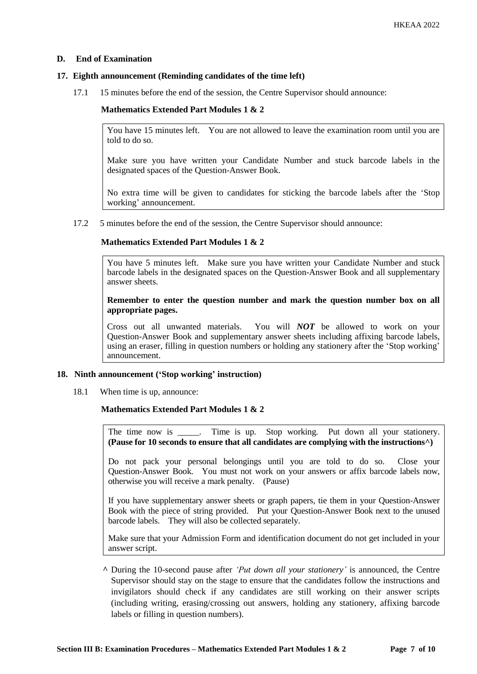# **D. End of Examination**

#### **17. Eighth announcement (Reminding candidates of the time left)**

17.1 15 minutes before the end of the session, the Centre Supervisor should announce:

# **Mathematics Extended Part Modules 1 & 2**

You have 15 minutes left. You are not allowed to leave the examination room until you are told to do so.

Make sure you have written your Candidate Number and stuck barcode labels in the designated spaces of the Question-Answer Book.

No extra time will be given to candidates for sticking the barcode labels after the 'Stop working' announcement.

17.2 5 minutes before the end of the session, the Centre Supervisor should announce:

# **Mathematics Extended Part Modules 1 & 2**

You have 5 minutes left. Make sure you have written your Candidate Number and stuck barcode labels in the designated spaces on the Question-Answer Book and all supplementary answer sheets.

**Remember to enter the question number and mark the question number box on all appropriate pages.** 

Cross out all unwanted materials. You will *NOT* be allowed to work on your Question-Answer Book and supplementary answer sheets including affixing barcode labels, using an eraser, filling in question numbers or holding any stationery after the 'Stop working' announcement.

#### **18. Ninth announcement ('Stop working' instruction)**

18.1 When time is up, announce:

# **Mathematics Extended Part Modules 1 & 2**

The time now is \_\_\_\_\_. Time is up. Stop working. Put down all your stationery. **(Pause for 10 seconds to ensure that all candidates are complying with the instructions^)**

Do not pack your personal belongings until you are told to do so. Close your Question-Answer Book. You must not work on your answers or affix barcode labels now, otherwise you will receive a mark penalty. (Pause)

If you have supplementary answer sheets or graph papers, tie them in your Question-Answer Book with the piece of string provided. Put your Question-Answer Book next to the unused barcode labels. They will also be collected separately.

Make sure that your Admission Form and identification document do not get included in your answer script.

**^** During the 10-second pause after *'Put down all your stationery'* is announced, the Centre Supervisor should stay on the stage to ensure that the candidates follow the instructions and invigilators should check if any candidates are still working on their answer scripts (including writing, erasing/crossing out answers, holding any stationery, affixing barcode labels or filling in question numbers).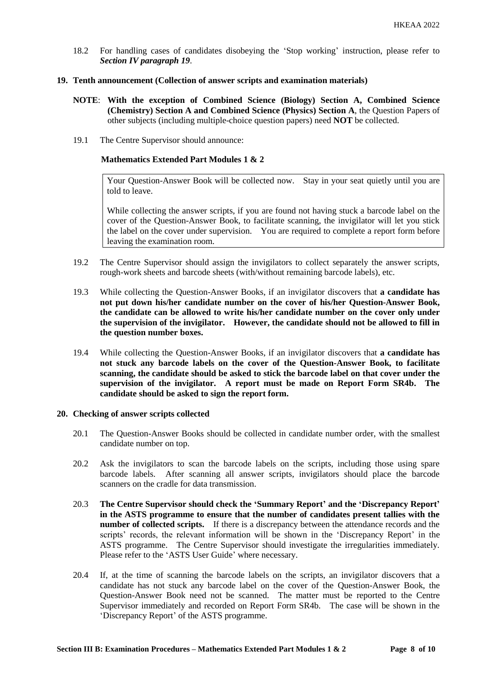18.2 For handling cases of candidates disobeying the 'Stop working' instruction, please refer to *Section IV paragraph 19*.

# **19. Tenth announcement (Collection of answer scripts and examination materials)**

- **NOTE**: **With the exception of Combined Science (Biology) Section A, Combined Science (Chemistry) Section A and Combined Science (Physics) Section A**, the Question Papers of other subjects (including multiple-choice question papers) need **NOT** be collected.
- 19.1 The Centre Supervisor should announce:

# **Mathematics Extended Part Modules 1 & 2**

Your Question-Answer Book will be collected now. Stay in your seat quietly until you are told to leave.

While collecting the answer scripts, if you are found not having stuck a barcode label on the cover of the Question-Answer Book, to facilitate scanning, the invigilator will let you stick the label on the cover under supervision. You are required to complete a report form before leaving the examination room.

- 19.2 The Centre Supervisor should assign the invigilators to collect separately the answer scripts, rough-work sheets and barcode sheets (with/without remaining barcode labels), etc.
- 19.3 While collecting the Question-Answer Books, if an invigilator discovers that **a candidate has not put down his/her candidate number on the cover of his/her Question-Answer Book, the candidate can be allowed to write his/her candidate number on the cover only under the supervision of the invigilator. However, the candidate should not be allowed to fill in the question number boxes.**
- 19.4 While collecting the Question-Answer Books, if an invigilator discovers that **a candidate has not stuck any barcode labels on the cover of the Question-Answer Book, to facilitate scanning, the candidate should be asked to stick the barcode label on that cover under the supervision of the invigilator. A report must be made on Report Form SR4b. The candidate should be asked to sign the report form.**

#### **20. Checking of answer scripts collected**

- 20.1 The Question-Answer Books should be collected in candidate number order, with the smallest candidate number on top.
- 20.2 Ask the invigilators to scan the barcode labels on the scripts, including those using spare barcode labels. After scanning all answer scripts, invigilators should place the barcode scanners on the cradle for data transmission.
- 20.3 **The Centre Supervisor should check the 'Summary Report' and the 'Discrepancy Report' in the ASTS programme to ensure that the number of candidates present tallies with the number of collected scripts.** If there is a discrepancy between the attendance records and the scripts' records, the relevant information will be shown in the 'Discrepancy Report' in the ASTS programme. The Centre Supervisor should investigate the irregularities immediately. Please refer to the 'ASTS User Guide' where necessary.
- 20.4 If, at the time of scanning the barcode labels on the scripts, an invigilator discovers that a candidate has not stuck any barcode label on the cover of the Question-Answer Book, the Question-Answer Book need not be scanned. The matter must be reported to the Centre Supervisor immediately and recorded on Report Form SR4b. The case will be shown in the 'Discrepancy Report' of the ASTS programme.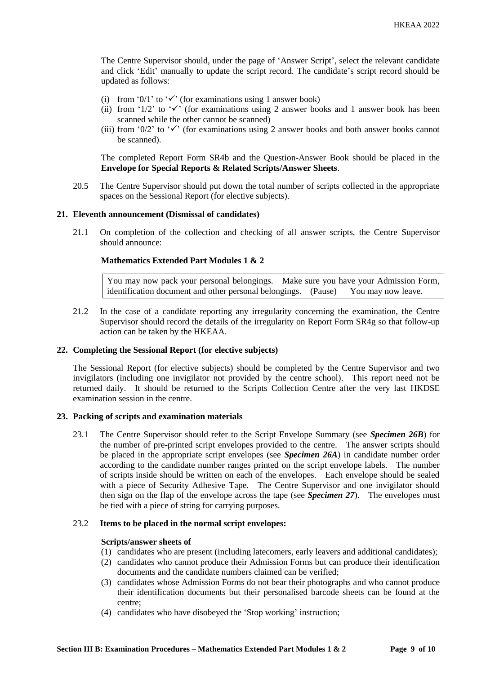The Centre Supervisor should, under the page of 'Answer Script', select the relevant candidate and click 'Edit' manually to update the script record. The candidate's script record should be updated as follows:

- (i) from '0/1' to ' $\checkmark$ ' (for examinations using 1 answer book)
- (ii) from '1/2' to ' $\checkmark$ ' (for examinations using 2 answer books and 1 answer book has been scanned while the other cannot be scanned)
- (iii) from '0/2' to ' $\checkmark$ ' (for examinations using 2 answer books and both answer books cannot be scanned).

The completed Report Form SR4b and the Question-Answer Book should be placed in the **Envelope for Special Reports & Related Scripts/Answer Sheets**.

20.5 The Centre Supervisor should put down the total number of scripts collected in the appropriate spaces on the Sessional Report (for elective subjects).

# **21. Eleventh announcement (Dismissal of candidates)**

21.1 On completion of the collection and checking of all answer scripts, the Centre Supervisor should announce:

# **Mathematics Extended Part Modules 1 & 2**

You may now pack your personal belongings. Make sure you have your Admission Form, identification document and other personal belongings. (Pause) You may now leave.

21.2 In the case of a candidate reporting any irregularity concerning the examination, the Centre Supervisor should record the details of the irregularity on Report Form SR4g so that follow-up action can be taken by the HKEAA.

#### **22. Completing the Sessional Report (for elective subjects)**

The Sessional Report (for elective subjects) should be completed by the Centre Supervisor and two invigilators (including one invigilator not provided by the centre school). This report need not be returned daily. It should be returned to the Scripts Collection Centre after the very last HKDSE examination session in the centre.

# **23. Packing of scripts and examination materials**

23.1 The Centre Supervisor should refer to the Script Envelope Summary (see *Specimen 26B*) for the number of pre-printed script envelopes provided to the centre. The answer scripts should be placed in the appropriate script envelopes (see *Specimen 26A*) in candidate number order according to the candidate number ranges printed on the script envelope labels. The number of scripts inside should be written on each of the envelopes. Each envelope should be sealed with a piece of Security Adhesive Tape. The Centre Supervisor and one invigilator should then sign on the flap of the envelope across the tape (see *Specimen 27*). The envelopes must be tied with a piece of string for carrying purposes.

#### 23.2 **Items to be placed in the normal script envelopes:**

#### **Scripts/answer sheets of**

- (1) candidates who are present (including latecomers, early leavers and additional candidates);
- (2) candidates who cannot produce their Admission Forms but can produce their identification documents and the candidate numbers claimed can be verified;
- (3) candidates whose Admission Forms do not bear their photographs and who cannot produce their identification documents but their personalised barcode sheets can be found at the centre;
- (4) candidates who have disobeyed the 'Stop working' instruction;